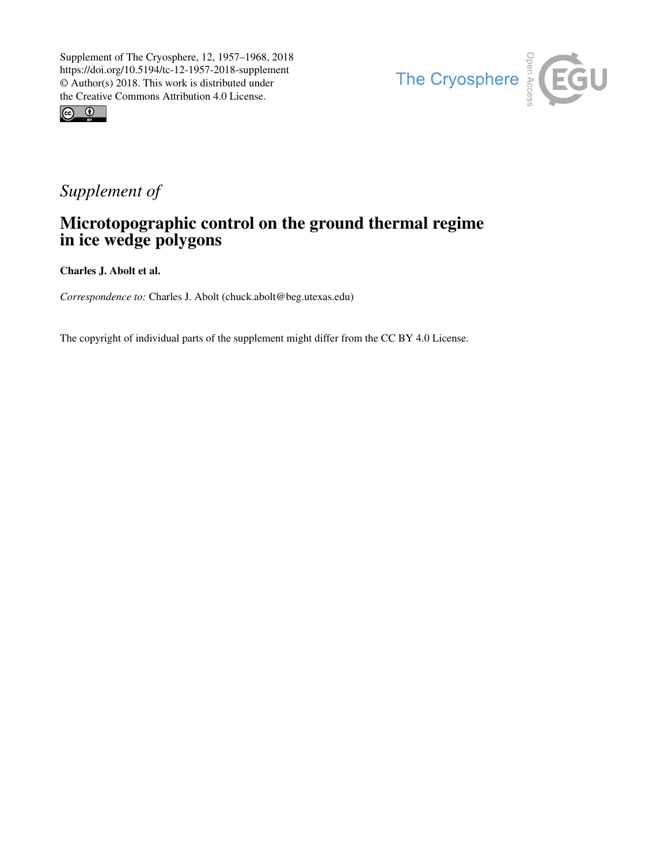



# *Supplement of*

## Microtopographic control on the ground thermal regime in ice wedge polygons

Charles J. Abolt et al.

*Correspondence to:* Charles J. Abolt (chuck.abolt@beg.utexas.edu)

The copyright of individual parts of the supplement might differ from the CC BY 4.0 License.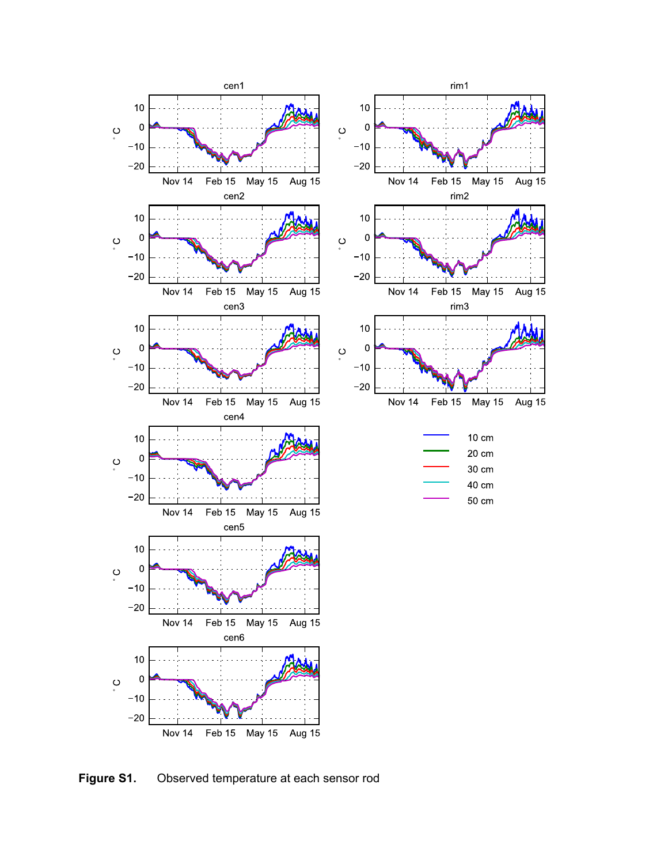

May 15

May 15

May 15

10 cm 20 cm

30 cm

40 cm

50 cm

Aug 15

Aug 15

Aug 15

**Figure S1.** Observed temperature at each sensor rod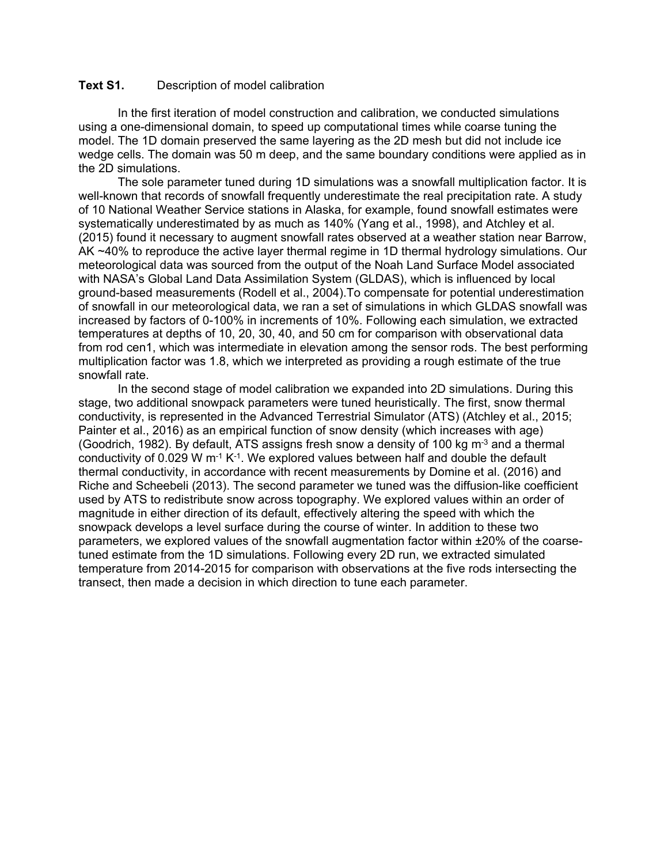#### **Text S1.** Description of model calibration

 In the first iteration of model construction and calibration, we conducted simulations using a one-dimensional domain, to speed up computational times while coarse tuning the model. The 1D domain preserved the same layering as the 2D mesh but did not include ice wedge cells. The domain was 50 m deep, and the same boundary conditions were applied as in the 2D simulations.

The sole parameter tuned during 1D simulations was a snowfall multiplication factor. It is well-known that records of snowfall frequently underestimate the real precipitation rate. A study of 10 National Weather Service stations in Alaska, for example, found snowfall estimates were systematically underestimated by as much as 140% (Yang et al., 1998), and Atchley et al. (2015) found it necessary to augment snowfall rates observed at a weather station near Barrow, AK ~40% to reproduce the active layer thermal regime in 1D thermal hydrology simulations. Our meteorological data was sourced from the output of the Noah Land Surface Model associated with NASA's Global Land Data Assimilation System (GLDAS), which is influenced by local ground-based measurements (Rodell et al., 2004).To compensate for potential underestimation of snowfall in our meteorological data, we ran a set of simulations in which GLDAS snowfall was increased by factors of 0-100% in increments of 10%. Following each simulation, we extracted temperatures at depths of 10, 20, 30, 40, and 50 cm for comparison with observational data from rod cen1, which was intermediate in elevation among the sensor rods. The best performing multiplication factor was 1.8, which we interpreted as providing a rough estimate of the true snowfall rate.

 In the second stage of model calibration we expanded into 2D simulations. During this stage, two additional snowpack parameters were tuned heuristically. The first, snow thermal conductivity, is represented in the Advanced Terrestrial Simulator (ATS) (Atchley et al., 2015; Painter et al., 2016) as an empirical function of snow density (which increases with age) (Goodrich, 1982). By default, ATS assigns fresh snow a density of 100 kg  $m<sup>3</sup>$  and a thermal conductivity of 0.029 W  $m<sup>-1</sup> K<sup>-1</sup>$ . We explored values between half and double the default thermal conductivity, in accordance with recent measurements by Domine et al. (2016) and Riche and Scheebeli (2013). The second parameter we tuned was the diffusion-like coefficient used by ATS to redistribute snow across topography. We explored values within an order of magnitude in either direction of its default, effectively altering the speed with which the snowpack develops a level surface during the course of winter. In addition to these two parameters, we explored values of the snowfall augmentation factor within ±20% of the coarsetuned estimate from the 1D simulations. Following every 2D run, we extracted simulated temperature from 2014-2015 for comparison with observations at the five rods intersecting the transect, then made a decision in which direction to tune each parameter.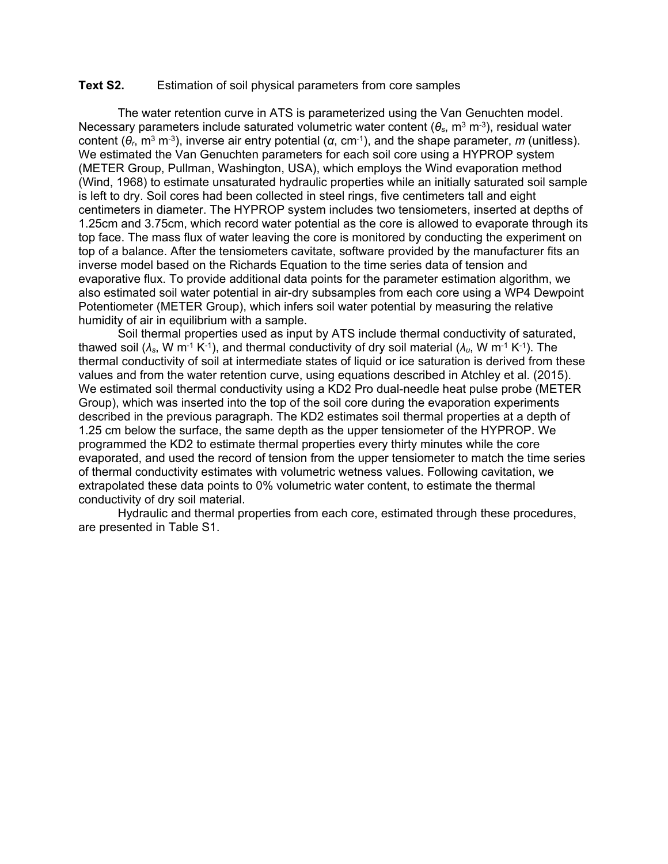#### **Text S2.** Estimation of soil physical parameters from core samples

 The water retention curve in ATS is parameterized using the Van Genuchten model. Necessary parameters include saturated volumetric water content (*θs*, m3 m-3), residual water content (*θr*, m3 m-3), inverse air entry potential (*α*, cm-1), and the shape parameter, *m* (unitless). We estimated the Van Genuchten parameters for each soil core using a HYPROP system (METER Group, Pullman, Washington, USA), which employs the Wind evaporation method (Wind, 1968) to estimate unsaturated hydraulic properties while an initially saturated soil sample is left to dry. Soil cores had been collected in steel rings, five centimeters tall and eight centimeters in diameter. The HYPROP system includes two tensiometers, inserted at depths of 1.25cm and 3.75cm, which record water potential as the core is allowed to evaporate through its top face. The mass flux of water leaving the core is monitored by conducting the experiment on top of a balance. After the tensiometers cavitate, software provided by the manufacturer fits an inverse model based on the Richards Equation to the time series data of tension and evaporative flux. To provide additional data points for the parameter estimation algorithm, we also estimated soil water potential in air-dry subsamples from each core using a WP4 Dewpoint Potentiometer (METER Group), which infers soil water potential by measuring the relative humidity of air in equilibrium with a sample.

 Soil thermal properties used as input by ATS include thermal conductivity of saturated, thawed soil ( $\lambda_s$ , W m<sup>-1</sup> K<sup>-1</sup>), and thermal conductivity of dry soil material ( $\lambda_u$ , W m<sup>-1</sup> K<sup>-1</sup>). The thermal conductivity of soil at intermediate states of liquid or ice saturation is derived from these values and from the water retention curve, using equations described in Atchley et al. (2015). We estimated soil thermal conductivity using a KD2 Pro dual-needle heat pulse probe (METER Group), which was inserted into the top of the soil core during the evaporation experiments described in the previous paragraph. The KD2 estimates soil thermal properties at a depth of 1.25 cm below the surface, the same depth as the upper tensiometer of the HYPROP. We programmed the KD2 to estimate thermal properties every thirty minutes while the core evaporated, and used the record of tension from the upper tensiometer to match the time series of thermal conductivity estimates with volumetric wetness values. Following cavitation, we extrapolated these data points to 0% volumetric water content, to estimate the thermal conductivity of dry soil material.

 Hydraulic and thermal properties from each core, estimated through these procedures, are presented in Table S1.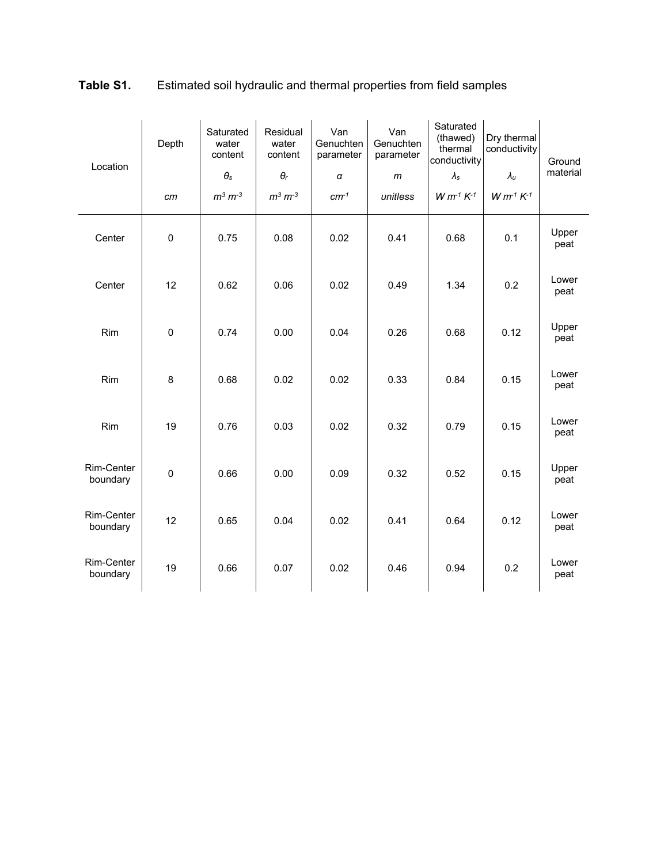| Location               | Depth       | Saturated<br>water<br>content<br>$\theta_{\text{s}}$ | Residual<br>water<br>content<br>$\theta_r$ | Van<br>Genuchten<br>parameter<br>α | Van<br>Genuchten<br>parameter<br>m | Saturated<br>(thawed)<br>thermal<br>conductivity<br>$\lambda$ s | Dry thermal<br>conductivity<br>$\lambda_u$ | Ground<br>material |
|------------------------|-------------|------------------------------------------------------|--------------------------------------------|------------------------------------|------------------------------------|-----------------------------------------------------------------|--------------------------------------------|--------------------|
|                        | cm          | $m^3 m^{-3}$                                         | $m^3 m^{-3}$                               | $cm^{-1}$                          | unitless                           | $W m^{-1} K^{-1}$                                               | $W m^{-1} K^{-1}$                          |                    |
| Center                 | $\pmb{0}$   | 0.75                                                 | 0.08                                       | 0.02                               | 0.41                               | 0.68                                                            | 0.1                                        | Upper<br>peat      |
| Center                 | 12          | 0.62                                                 | 0.06                                       | 0.02                               | 0.49                               | 1.34                                                            | 0.2                                        | Lower<br>peat      |
| Rim                    | 0           | 0.74                                                 | 0.00                                       | 0.04                               | 0.26                               | 0.68                                                            | 0.12                                       | Upper<br>peat      |
| Rim                    | 8           | 0.68                                                 | 0.02                                       | 0.02                               | 0.33                               | 0.84                                                            | 0.15                                       | Lower<br>peat      |
| Rim                    | 19          | 0.76                                                 | 0.03                                       | 0.02                               | 0.32                               | 0.79                                                            | 0.15                                       | Lower<br>peat      |
| Rim-Center<br>boundary | $\mathsf 0$ | 0.66                                                 | 0.00                                       | 0.09                               | 0.32                               | 0.52                                                            | 0.15                                       | Upper<br>peat      |
| Rim-Center<br>boundary | 12          | 0.65                                                 | 0.04                                       | 0.02                               | 0.41                               | 0.64                                                            | 0.12                                       | Lower<br>peat      |
| Rim-Center<br>boundary | 19          | 0.66                                                 | 0.07                                       | 0.02                               | 0.46                               | 0.94                                                            | 0.2                                        | Lower<br>peat      |

### **Table S1.** Estimated soil hydraulic and thermal properties from field samples